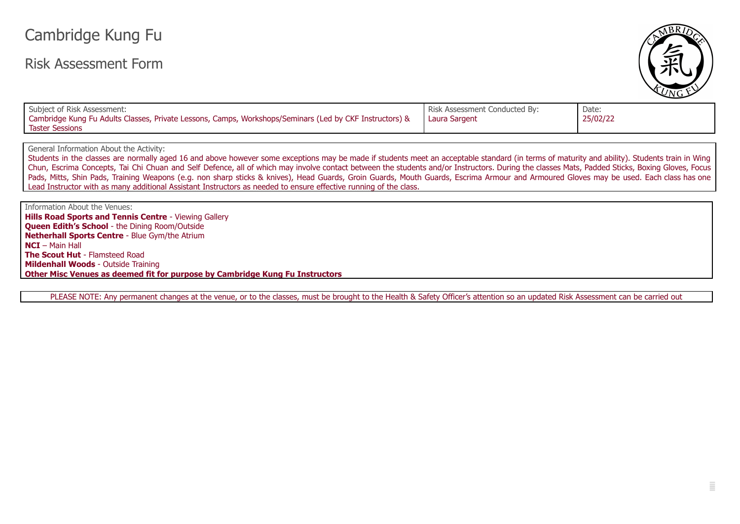## Cambridge Kung Fu

## Risk Assessment Form



| Subject of Risk Assessment:                                                                             | Risk Assessment Conducted By: | Date:    |
|---------------------------------------------------------------------------------------------------------|-------------------------------|----------|
| Cambridge Kung Fu Adults Classes, Private Lessons, Camps, Workshops/Seminars (Led by CKF Instructors) & | Laura Sargent                 | 25/02/22 |
| Taster Sessions                                                                                         |                               |          |

General Information About the Activity:

Students in the classes are normally aged 16 and above however some exceptions may be made if students meet an acceptable standard (in terms of maturity and ability). Students train in Wing Chun, Escrima Concepts, Tai Chi Chuan and Self Defence, all of which may involve contact between the students and/or Instructors. During the classes Mats, Padded Sticks, Boxing Gloves, Focus Pads, Mitts, Shin Pads, Training Weapons (e.g. non sharp sticks & knives), Head Guards, Groin Guards, Mouth Guards, Escrima Armour and Armoured Gloves may be used. Each class has one Lead Instructor with as many additional Assistant Instructors as needed to ensure effective running of the class.

Information About the Venues: **Hills Road Sports and Tennis Centre** - Viewing Gallery **Queen Edith's School** - the Dining Room/Outside **Netherhall Sports Centre** - Blue Gym/the Atrium **NCI** – Main Hall **The Scout Hut** - Flamsteed Road **Mildenhall Woods** - Outside Training **Other Misc Venues as deemed fit for purpose by Cambridge Kung Fu Instructors**

PLEASE NOTE: Any permanent changes at the venue, or to the classes, must be brought to the Health & Safety Officer's attention so an updated Risk Assessment can be carried out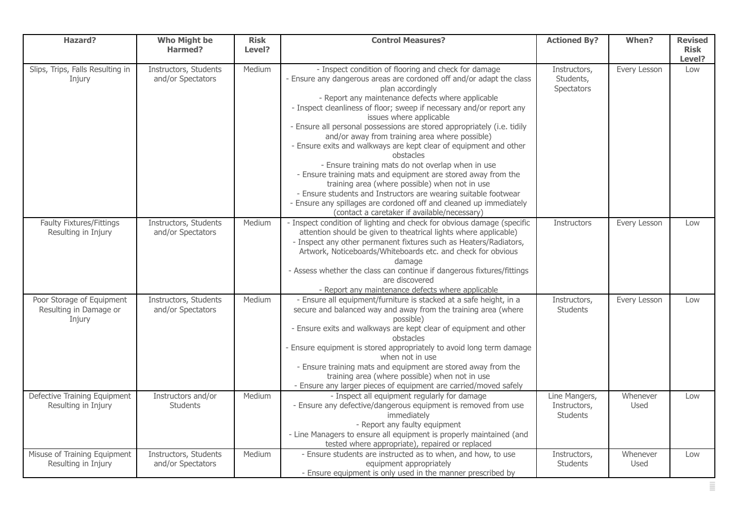| <b>Hazard?</b>                                                | <b>Who Might be</b><br>Harmed?             | <b>Risk</b><br>Level? | <b>Control Measures?</b>                                                                                                                                                                                                                                                                                                                                                                                                                                                                                                                                                                                                                                                                                                                                                                                                                                                                 | <b>Actioned By?</b>                       | When?                   | <b>Revised</b><br><b>Risk</b> |
|---------------------------------------------------------------|--------------------------------------------|-----------------------|------------------------------------------------------------------------------------------------------------------------------------------------------------------------------------------------------------------------------------------------------------------------------------------------------------------------------------------------------------------------------------------------------------------------------------------------------------------------------------------------------------------------------------------------------------------------------------------------------------------------------------------------------------------------------------------------------------------------------------------------------------------------------------------------------------------------------------------------------------------------------------------|-------------------------------------------|-------------------------|-------------------------------|
|                                                               |                                            |                       |                                                                                                                                                                                                                                                                                                                                                                                                                                                                                                                                                                                                                                                                                                                                                                                                                                                                                          |                                           |                         | Level?                        |
| Slips, Trips, Falls Resulting in<br>Injury                    | Instructors, Students<br>and/or Spectators | Medium                | - Inspect condition of flooring and check for damage<br>- Ensure any dangerous areas are cordoned off and/or adapt the class<br>plan accordingly<br>- Report any maintenance defects where applicable<br>- Inspect cleanliness of floor; sweep if necessary and/or report any<br>issues where applicable<br>- Ensure all personal possessions are stored appropriately (i.e. tidily<br>and/or away from training area where possible)<br>- Ensure exits and walkways are kept clear of equipment and other<br>obstacles<br>- Ensure training mats do not overlap when in use<br>- Ensure training mats and equipment are stored away from the<br>training area (where possible) when not in use<br>- Ensure students and Instructors are wearing suitable footwear<br>- Ensure any spillages are cordoned off and cleaned up immediately<br>(contact a caretaker if available/necessary) | Instructors,<br>Students,<br>Spectators   | Every Lesson            | Low                           |
| Faulty Fixtures/Fittings<br>Resulting in Injury               | Instructors, Students<br>and/or Spectators | Medium                | - Inspect condition of lighting and check for obvious damage (specific<br>attention should be given to theatrical lights where applicable)<br>- Inspect any other permanent fixtures such as Heaters/Radiators,<br>Artwork, Noticeboards/Whiteboards etc. and check for obvious<br>damage<br>- Assess whether the class can continue if dangerous fixtures/fittings<br>are discovered<br>- Report any maintenance defects where applicable                                                                                                                                                                                                                                                                                                                                                                                                                                               | Instructors                               | Every Lesson            | Low                           |
| Poor Storage of Equipment<br>Resulting in Damage or<br>Injury | Instructors, Students<br>and/or Spectators | Medium                | - Ensure all equipment/furniture is stacked at a safe height, in a<br>secure and balanced way and away from the training area (where<br>possible)<br>- Ensure exits and walkways are kept clear of equipment and other<br>obstacles<br>Ensure equipment is stored appropriately to avoid long term damage<br>when not in use<br>- Ensure training mats and equipment are stored away from the<br>training area (where possible) when not in use<br>- Ensure any larger pieces of equipment are carried/moved safely                                                                                                                                                                                                                                                                                                                                                                      | Instructors,<br>Students                  | Every Lesson            | Low                           |
| Defective Training Equipment<br>Resulting in Injury           | Instructors and/or<br><b>Students</b>      | Medium                | - Inspect all equipment regularly for damage<br>- Ensure any defective/dangerous equipment is removed from use<br>immediately<br>- Report any faulty equipment<br>- Line Managers to ensure all equipment is properly maintained (and<br>tested where appropriate), repaired or replaced                                                                                                                                                                                                                                                                                                                                                                                                                                                                                                                                                                                                 | Line Mangers,<br>Instructors,<br>Students | Whenever<br>Used        | Low                           |
| Misuse of Training Equipment<br>Resulting in Injury           | Instructors, Students<br>and/or Spectators | Medium                | - Ensure students are instructed as to when, and how, to use<br>equipment appropriately<br>- Ensure equipment is only used in the manner prescribed by                                                                                                                                                                                                                                                                                                                                                                                                                                                                                                                                                                                                                                                                                                                                   | Instructors,<br><b>Students</b>           | Whenever<br><b>Used</b> | Low                           |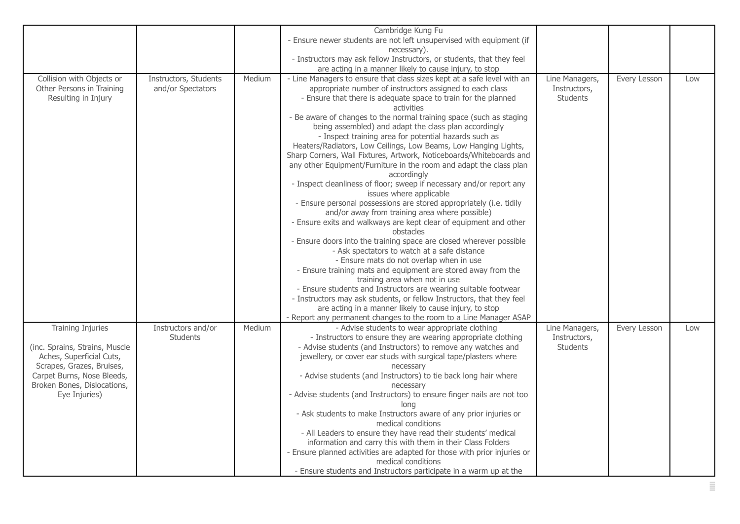|                                |                       |        | Cambridge Kung Fu                                                                                                   |                 |              |     |
|--------------------------------|-----------------------|--------|---------------------------------------------------------------------------------------------------------------------|-----------------|--------------|-----|
|                                |                       |        | - Ensure newer students are not left unsupervised with equipment (if                                                |                 |              |     |
|                                |                       |        | necessary).                                                                                                         |                 |              |     |
|                                |                       |        | - Instructors may ask fellow Instructors, or students, that they feel                                               |                 |              |     |
|                                |                       |        | are acting in a manner likely to cause injury, to stop                                                              |                 |              |     |
| Collision with Objects or      | Instructors, Students | Medium | - Line Managers to ensure that class sizes kept at a safe level with an                                             | Line Managers,  | Every Lesson | Low |
| Other Persons in Training      | and/or Spectators     |        | appropriate number of instructors assigned to each class                                                            | Instructors,    |              |     |
| Resulting in Injury            |                       |        | - Ensure that there is adequate space to train for the planned                                                      | <b>Students</b> |              |     |
|                                |                       |        | activities                                                                                                          |                 |              |     |
|                                |                       |        | - Be aware of changes to the normal training space (such as staging                                                 |                 |              |     |
|                                |                       |        | being assembled) and adapt the class plan accordingly                                                               |                 |              |     |
|                                |                       |        | - Inspect training area for potential hazards such as                                                               |                 |              |     |
|                                |                       |        | Heaters/Radiators, Low Ceilings, Low Beams, Low Hanging Lights,                                                     |                 |              |     |
|                                |                       |        | Sharp Corners, Wall Fixtures, Artwork, Noticeboards/Whiteboards and                                                 |                 |              |     |
|                                |                       |        | any other Equipment/Furniture in the room and adapt the class plan                                                  |                 |              |     |
|                                |                       |        | accordingly                                                                                                         |                 |              |     |
|                                |                       |        | - Inspect cleanliness of floor; sweep if necessary and/or report any                                                |                 |              |     |
|                                |                       |        | issues where applicable                                                                                             |                 |              |     |
|                                |                       |        | - Ensure personal possessions are stored appropriately (i.e. tidily                                                 |                 |              |     |
|                                |                       |        | and/or away from training area where possible)                                                                      |                 |              |     |
|                                |                       |        | - Ensure exits and walkways are kept clear of equipment and other                                                   |                 |              |     |
|                                |                       |        | obstacles                                                                                                           |                 |              |     |
|                                |                       |        | - Ensure doors into the training space are closed wherever possible<br>- Ask spectators to watch at a safe distance |                 |              |     |
|                                |                       |        | - Ensure mats do not overlap when in use                                                                            |                 |              |     |
|                                |                       |        | - Ensure training mats and equipment are stored away from the                                                       |                 |              |     |
|                                |                       |        | training area when not in use                                                                                       |                 |              |     |
|                                |                       |        | - Ensure students and Instructors are wearing suitable footwear                                                     |                 |              |     |
|                                |                       |        | - Instructors may ask students, or fellow Instructors, that they feel                                               |                 |              |     |
|                                |                       |        | are acting in a manner likely to cause injury, to stop                                                              |                 |              |     |
|                                |                       |        | - Report any permanent changes to the room to a Line Manager ASAP                                                   |                 |              |     |
| <b>Training Injuries</b>       | Instructors and/or    | Medium | - Advise students to wear appropriate clothing                                                                      | Line Managers,  | Every Lesson | Low |
|                                | <b>Students</b>       |        | - Instructors to ensure they are wearing appropriate clothing                                                       | Instructors,    |              |     |
| (inc. Sprains, Strains, Muscle |                       |        | - Advise students (and Instructors) to remove any watches and                                                       | Students        |              |     |
| Aches, Superficial Cuts,       |                       |        | jewellery, or cover ear studs with surgical tape/plasters where                                                     |                 |              |     |
| Scrapes, Grazes, Bruises,      |                       |        | necessary                                                                                                           |                 |              |     |
| Carpet Burns, Nose Bleeds,     |                       |        | - Advise students (and Instructors) to tie back long hair where                                                     |                 |              |     |
| Broken Bones, Dislocations,    |                       |        | necessary                                                                                                           |                 |              |     |
| Eye Injuries)                  |                       |        | - Advise students (and Instructors) to ensure finger nails are not too                                              |                 |              |     |
|                                |                       |        | long                                                                                                                |                 |              |     |
|                                |                       |        | - Ask students to make Instructors aware of any prior injuries or                                                   |                 |              |     |
|                                |                       |        | medical conditions                                                                                                  |                 |              |     |
|                                |                       |        | - All Leaders to ensure they have read their students' medical                                                      |                 |              |     |
|                                |                       |        | information and carry this with them in their Class Folders                                                         |                 |              |     |
|                                |                       |        | - Ensure planned activities are adapted for those with prior injuries or                                            |                 |              |     |
|                                |                       |        | medical conditions                                                                                                  |                 |              |     |
|                                |                       |        | - Ensure students and Instructors participate in a warm up at the                                                   |                 |              |     |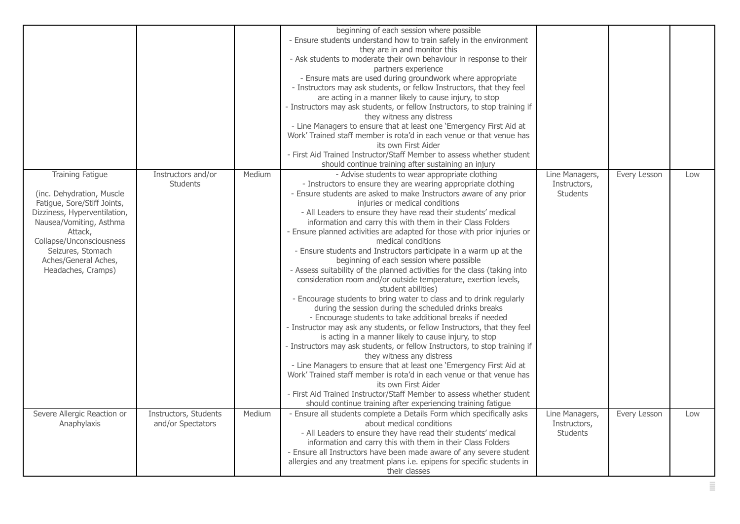|                                                                                                                                                                                                                                                          |                                            |        | beginning of each session where possible<br>- Ensure students understand how to train safely in the environment<br>they are in and monitor this<br>- Ask students to moderate their own behaviour in response to their<br>partners experience<br>- Ensure mats are used during groundwork where appropriate<br>- Instructors may ask students, or fellow Instructors, that they feel<br>are acting in a manner likely to cause injury, to stop<br>- Instructors may ask students, or fellow Instructors, to stop training if<br>they witness any distress<br>- Line Managers to ensure that at least one 'Emergency First Aid at<br>Work' Trained staff member is rota'd in each venue or that venue has<br>its own First Aider<br>- First Aid Trained Instructor/Staff Member to assess whether student<br>should continue training after sustaining an injury                                                                                                                                                                                                                                                                                                                                                                                                                                                                                                                                                                                                                                              |                                                   |              |     |
|----------------------------------------------------------------------------------------------------------------------------------------------------------------------------------------------------------------------------------------------------------|--------------------------------------------|--------|--------------------------------------------------------------------------------------------------------------------------------------------------------------------------------------------------------------------------------------------------------------------------------------------------------------------------------------------------------------------------------------------------------------------------------------------------------------------------------------------------------------------------------------------------------------------------------------------------------------------------------------------------------------------------------------------------------------------------------------------------------------------------------------------------------------------------------------------------------------------------------------------------------------------------------------------------------------------------------------------------------------------------------------------------------------------------------------------------------------------------------------------------------------------------------------------------------------------------------------------------------------------------------------------------------------------------------------------------------------------------------------------------------------------------------------------------------------------------------------------------------------|---------------------------------------------------|--------------|-----|
| <b>Training Fatigue</b><br>(inc. Dehydration, Muscle<br>Fatigue, Sore/Stiff Joints,<br>Dizziness, Hyperventilation,<br>Nausea/Vomiting, Asthma<br>Attack,<br>Collapse/Unconsciousness<br>Seizures, Stomach<br>Aches/General Aches,<br>Headaches, Cramps) | Instructors and/or<br><b>Students</b>      | Medium | - Advise students to wear appropriate clothing<br>- Instructors to ensure they are wearing appropriate clothing<br>- Ensure students are asked to make Instructors aware of any prior<br>injuries or medical conditions<br>- All Leaders to ensure they have read their students' medical<br>information and carry this with them in their Class Folders<br>- Ensure planned activities are adapted for those with prior injuries or<br>medical conditions<br>- Ensure students and Instructors participate in a warm up at the<br>beginning of each session where possible<br>- Assess suitability of the planned activities for the class (taking into<br>consideration room and/or outside temperature, exertion levels,<br>student abilities)<br>- Encourage students to bring water to class and to drink regularly<br>during the session during the scheduled drinks breaks<br>- Encourage students to take additional breaks if needed<br>- Instructor may ask any students, or fellow Instructors, that they feel<br>is acting in a manner likely to cause injury, to stop<br>- Instructors may ask students, or fellow Instructors, to stop training if<br>they witness any distress<br>- Line Managers to ensure that at least one 'Emergency First Aid at<br>Work' Trained staff member is rota'd in each venue or that venue has<br>its own First Aider<br>- First Aid Trained Instructor/Staff Member to assess whether student<br>should continue training after experiencing training fatigue | Line Managers,<br>Instructors,<br>Students        | Every Lesson | Low |
| Severe Allergic Reaction or<br>Anaphylaxis                                                                                                                                                                                                               | Instructors, Students<br>and/or Spectators | Medium | - Ensure all students complete a Details Form which specifically asks<br>about medical conditions<br>- All Leaders to ensure they have read their students' medical<br>information and carry this with them in their Class Folders<br>- Ensure all Instructors have been made aware of any severe student<br>allergies and any treatment plans i.e. epipens for specific students in<br>their classes                                                                                                                                                                                                                                                                                                                                                                                                                                                                                                                                                                                                                                                                                                                                                                                                                                                                                                                                                                                                                                                                                                        | Line Managers,<br>Instructors,<br><b>Students</b> | Every Lesson | Low |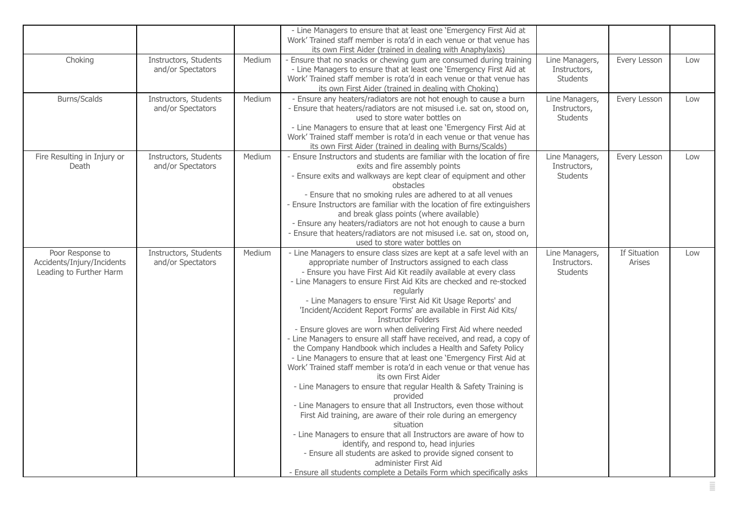|                                                                           |                                            |        | - Line Managers to ensure that at least one 'Emergency First Aid at<br>Work' Trained staff member is rota'd in each venue or that venue has<br>its own First Aider (trained in dealing with Anaphylaxis)                                                                                                                                                                                                                                                                                                                                                                                                                                                                                                                                                                                                                                                                                                                                                                                                                                                                                                                                                                                                                                                                                                                                                                   |                                                   |                        |     |
|---------------------------------------------------------------------------|--------------------------------------------|--------|----------------------------------------------------------------------------------------------------------------------------------------------------------------------------------------------------------------------------------------------------------------------------------------------------------------------------------------------------------------------------------------------------------------------------------------------------------------------------------------------------------------------------------------------------------------------------------------------------------------------------------------------------------------------------------------------------------------------------------------------------------------------------------------------------------------------------------------------------------------------------------------------------------------------------------------------------------------------------------------------------------------------------------------------------------------------------------------------------------------------------------------------------------------------------------------------------------------------------------------------------------------------------------------------------------------------------------------------------------------------------|---------------------------------------------------|------------------------|-----|
| Choking                                                                   | Instructors, Students<br>and/or Spectators | Medium | Ensure that no snacks or chewing gum are consumed during training<br>- Line Managers to ensure that at least one 'Emergency First Aid at<br>Work' Trained staff member is rota'd in each venue or that venue has<br>its own First Aider (trained in dealing with Choking)                                                                                                                                                                                                                                                                                                                                                                                                                                                                                                                                                                                                                                                                                                                                                                                                                                                                                                                                                                                                                                                                                                  | Line Managers,<br>Instructors,<br><b>Students</b> | Every Lesson           | Low |
| Burns/Scalds                                                              | Instructors, Students<br>and/or Spectators | Medium | - Ensure any heaters/radiators are not hot enough to cause a burn<br>- Ensure that heaters/radiators are not misused i.e. sat on, stood on,<br>used to store water bottles on<br>- Line Managers to ensure that at least one 'Emergency First Aid at<br>Work' Trained staff member is rota'd in each venue or that venue has<br>its own First Aider (trained in dealing with Burns/Scalds)                                                                                                                                                                                                                                                                                                                                                                                                                                                                                                                                                                                                                                                                                                                                                                                                                                                                                                                                                                                 | Line Managers,<br>Instructors,<br>Students        | Every Lesson           | Low |
| Fire Resulting in Injury or<br>Death                                      | Instructors, Students<br>and/or Spectators | Medium | - Ensure Instructors and students are familiar with the location of fire<br>exits and fire assembly points<br>- Ensure exits and walkways are kept clear of equipment and other<br>obstacles<br>- Ensure that no smoking rules are adhered to at all venues<br>- Ensure Instructors are familiar with the location of fire extinguishers<br>and break glass points (where available)<br>- Ensure any heaters/radiators are not hot enough to cause a burn<br>- Ensure that heaters/radiators are not misused i.e. sat on, stood on,<br>used to store water bottles on                                                                                                                                                                                                                                                                                                                                                                                                                                                                                                                                                                                                                                                                                                                                                                                                      | Line Managers,<br>Instructors,<br><b>Students</b> | Every Lesson           | Low |
| Poor Response to<br>Accidents/Injury/Incidents<br>Leading to Further Harm | Instructors, Students<br>and/or Spectators | Medium | - Line Managers to ensure class sizes are kept at a safe level with an<br>appropriate number of Instructors assigned to each class<br>- Ensure you have First Aid Kit readily available at every class<br>- Line Managers to ensure First Aid Kits are checked and re-stocked<br>regularly<br>- Line Managers to ensure 'First Aid Kit Usage Reports' and<br>'Incident/Accident Report Forms' are available in First Aid Kits/<br><b>Instructor Folders</b><br>- Ensure gloves are worn when delivering First Aid where needed<br>- Line Managers to ensure all staff have received, and read, a copy of<br>the Company Handbook which includes a Health and Safety Policy<br>- Line Managers to ensure that at least one 'Emergency First Aid at<br>Work' Trained staff member is rota'd in each venue or that venue has<br>its own First Aider<br>- Line Managers to ensure that regular Health & Safety Training is<br>provided<br>- Line Managers to ensure that all Instructors, even those without<br>First Aid training, are aware of their role during an emergency<br>situation<br>- Line Managers to ensure that all Instructors are aware of how to<br>identify, and respond to, head injuries<br>- Ensure all students are asked to provide signed consent to<br>administer First Aid<br>- Ensure all students complete a Details Form which specifically asks | Line Managers,<br>Instructors.<br><b>Students</b> | If Situation<br>Arises | Low |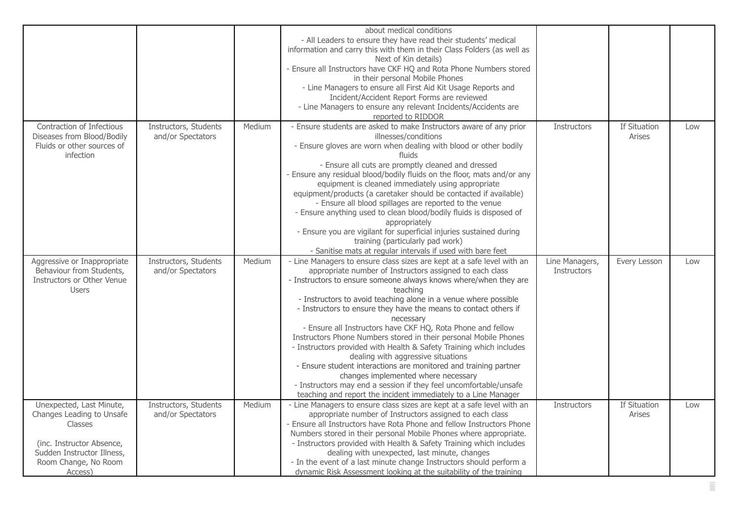|                                                                                                                                                                |                                            |        | about medical conditions<br>- All Leaders to ensure they have read their students' medical<br>information and carry this with them in their Class Folders (as well as<br>Next of Kin details)<br>- Ensure all Instructors have CKF HQ and Rota Phone Numbers stored<br>in their personal Mobile Phones                                                                                                                                                                                                                                                                                                                                                                                                                                                                                                                                                                   |                                      |                               |     |
|----------------------------------------------------------------------------------------------------------------------------------------------------------------|--------------------------------------------|--------|--------------------------------------------------------------------------------------------------------------------------------------------------------------------------------------------------------------------------------------------------------------------------------------------------------------------------------------------------------------------------------------------------------------------------------------------------------------------------------------------------------------------------------------------------------------------------------------------------------------------------------------------------------------------------------------------------------------------------------------------------------------------------------------------------------------------------------------------------------------------------|--------------------------------------|-------------------------------|-----|
|                                                                                                                                                                |                                            |        | - Line Managers to ensure all First Aid Kit Usage Reports and<br>Incident/Accident Report Forms are reviewed<br>- Line Managers to ensure any relevant Incidents/Accidents are<br>reported to RIDDOR                                                                                                                                                                                                                                                                                                                                                                                                                                                                                                                                                                                                                                                                     |                                      |                               |     |
| Contraction of Infectious<br>Diseases from Blood/Bodily<br>Fluids or other sources of<br>infection                                                             | Instructors, Students<br>and/or Spectators | Medium | - Ensure students are asked to make Instructors aware of any prior<br>illnesses/conditions<br>- Ensure gloves are worn when dealing with blood or other bodily<br>fluids<br>- Ensure all cuts are promptly cleaned and dressed<br>Ensure any residual blood/bodily fluids on the floor, mats and/or any<br>equipment is cleaned immediately using appropriate<br>equipment/products (a caretaker should be contacted if available)<br>- Ensure all blood spillages are reported to the venue<br>- Ensure anything used to clean blood/bodily fluids is disposed of<br>appropriately<br>- Ensure you are vigilant for superficial injuries sustained during<br>training (particularly pad work)<br>- Sanitise mats at regular intervals if used with bare feet                                                                                                            | <b>Instructors</b>                   | If Situation<br><b>Arises</b> | Low |
| Aggressive or Inappropriate<br>Behaviour from Students,<br>Instructors or Other Venue<br><b>Users</b>                                                          | Instructors, Students<br>and/or Spectators | Medium | - Line Managers to ensure class sizes are kept at a safe level with an<br>appropriate number of Instructors assigned to each class<br>- Instructors to ensure someone always knows where/when they are<br>teaching<br>- Instructors to avoid teaching alone in a venue where possible<br>- Instructors to ensure they have the means to contact others if<br>necessary<br>- Ensure all Instructors have CKF HQ, Rota Phone and fellow<br>Instructors Phone Numbers stored in their personal Mobile Phones<br>- Instructors provided with Health & Safety Training which includes<br>dealing with aggressive situations<br>- Ensure student interactions are monitored and training partner<br>changes implemented where necessary<br>- Instructors may end a session if they feel uncomfortable/unsafe<br>teaching and report the incident immediately to a Line Manager | Line Managers,<br><b>Instructors</b> | Every Lesson                  | Low |
| Unexpected, Last Minute,<br>Changes Leading to Unsafe<br>Classes<br>(inc. Instructor Absence,<br>Sudden Instructor Illness,<br>Room Change, No Room<br>Access) | Instructors, Students<br>and/or Spectators | Medium | - Line Managers to ensure class sizes are kept at a safe level with an<br>appropriate number of Instructors assigned to each class<br>- Ensure all Instructors have Rota Phone and fellow Instructors Phone<br>Numbers stored in their personal Mobile Phones where appropriate.<br>- Instructors provided with Health & Safety Training which includes<br>dealing with unexpected, last minute, changes<br>- In the event of a last minute change Instructors should perform a<br>dynamic Risk Assessment looking at the suitability of the training                                                                                                                                                                                                                                                                                                                    | <b>Instructors</b>                   | If Situation<br><b>Arises</b> | Low |